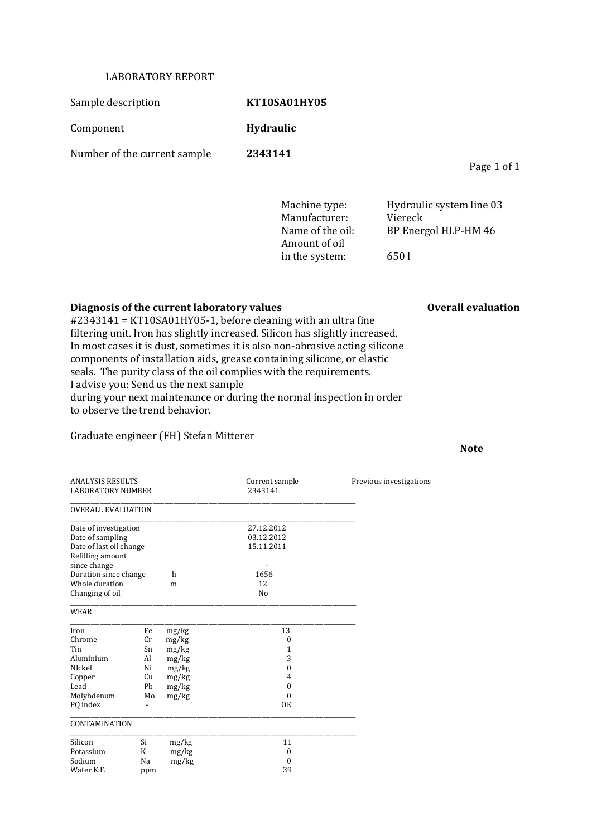## LABORATORY REPORT

Sample description **KT10SA01HY05** 

Component **Hydraulic**

Number of the current sample **2343141**

Page 1 of 1

Manufacturer: Viereck Amount of oil in the system: 650 l

Machine type: Hydraulic system line 03 Name of the oil: BP Energol HLP-HM 46

## **Diagnosis of the current laboratory values Overall evaluation**

#2343141 = KT10SA01HY05-1, before cleaning with an ultra fine filtering unit. Iron has slightly increased. Silicon has slightly increased. In most cases it is dust, sometimes it is also non-abrasive acting silicone components of installation aids, grease containing silicone, or elastic seals. The purity class of the oil complies with the requirements. I advise you: Send us the next sample during your next maintenance or during the normal inspection in order to observe the trend behavior.

## Graduate engineer (FH) Stefan Mitterer

ANALYSIS RESULTS<br>
LABORATORY NUMBER<br>
2343141<br>
2343141 LABORATORY NUMBER \_\_\_\_\_\_\_\_\_\_\_\_\_\_\_\_\_\_\_\_\_\_\_\_\_\_\_\_\_\_\_\_\_\_\_\_\_\_\_\_\_\_\_\_\_\_\_\_\_\_\_\_\_\_\_\_\_\_\_\_\_\_\_\_\_\_\_\_\_\_\_\_\_\_\_\_\_\_\_\_\_\_\_\_\_\_\_\_\_\_\_\_\_\_\_\_\_ OVERALL EVALUATION \_\_\_\_\_\_\_\_\_\_\_\_\_\_\_\_\_\_\_\_\_\_\_\_\_\_\_\_\_\_\_\_\_\_\_\_\_\_\_\_\_\_\_\_\_\_\_\_\_\_\_\_\_\_\_\_\_\_\_\_\_\_\_\_\_\_\_\_\_\_\_\_\_\_\_\_\_\_\_\_\_\_\_\_\_\_\_\_\_\_\_\_\_\_\_\_\_ Date of investigation 27.12.2012<br>Date of sampling 03.12.2012 Date of sampling 03.12.2012<br>Date of last oil change 03.12.2011 Date of last oil change Refilling amount since change<br>
Duration since change  $h$  1656 Duration since change h Whole duration m 12<br>Changing of oil No Changing of oil \_\_\_\_\_\_\_\_\_\_\_\_\_\_\_\_\_\_\_\_\_\_\_\_\_\_\_\_\_\_\_\_\_\_\_\_\_\_\_\_\_\_\_\_\_\_\_\_\_\_\_\_\_\_\_\_\_\_\_\_\_\_\_\_\_\_\_\_\_\_\_\_\_\_\_\_\_\_\_\_\_\_\_\_\_\_\_\_\_\_\_\_\_\_\_\_\_ WEAR \_\_\_\_\_\_\_\_\_\_\_\_\_\_\_\_\_\_\_\_\_\_\_\_\_\_\_\_\_\_\_\_\_\_\_\_\_\_\_\_\_\_\_\_\_\_\_\_\_\_\_\_\_\_\_\_\_\_\_\_\_\_\_\_\_\_\_\_\_\_\_\_\_\_\_\_\_\_\_\_\_\_\_\_\_\_\_\_\_\_\_\_\_\_\_\_\_ Iron Fe mg/kg 13 Chrome Cr mg/kg 0<br>
Tin Sn mg/kg 1 Sn mg/kg<br>
Al mg/kg<br>
3 Aluminium NIckel Ni mg/kg 0 Copper Cu mg/kg 4<br>
Lead Pb mg/kg 0 Lead Pb mg/kg Molybdenum Mo mg/kg 0 PQ index **-** OK \_\_\_\_\_\_\_\_\_\_\_\_\_\_\_\_\_\_\_\_\_\_\_\_\_\_\_\_\_\_\_\_\_\_\_\_\_\_\_\_\_\_\_\_\_\_\_\_\_\_\_\_\_\_\_\_\_\_\_\_\_\_\_\_\_\_\_\_\_\_\_\_\_\_\_\_\_\_\_\_\_\_\_\_\_\_\_\_\_\_\_\_\_\_\_\_\_ **CONTAMINATION** \_\_\_\_\_\_\_\_\_\_\_\_\_\_\_\_\_\_\_\_\_\_\_\_\_\_\_\_\_\_\_\_\_\_\_\_\_\_\_\_\_\_\_\_\_\_\_\_\_\_\_\_\_\_\_\_\_\_\_\_\_\_\_\_\_\_\_\_\_\_\_\_\_\_\_\_\_\_\_\_\_\_\_\_\_\_\_\_\_\_\_\_\_\_\_\_\_ Silicon Si mg/kg 11 Potassium K mg/kg 0 Sodium Na mg/kg 0<br>Water K.F. nnm 39 Water K.F. ppm

**Note**